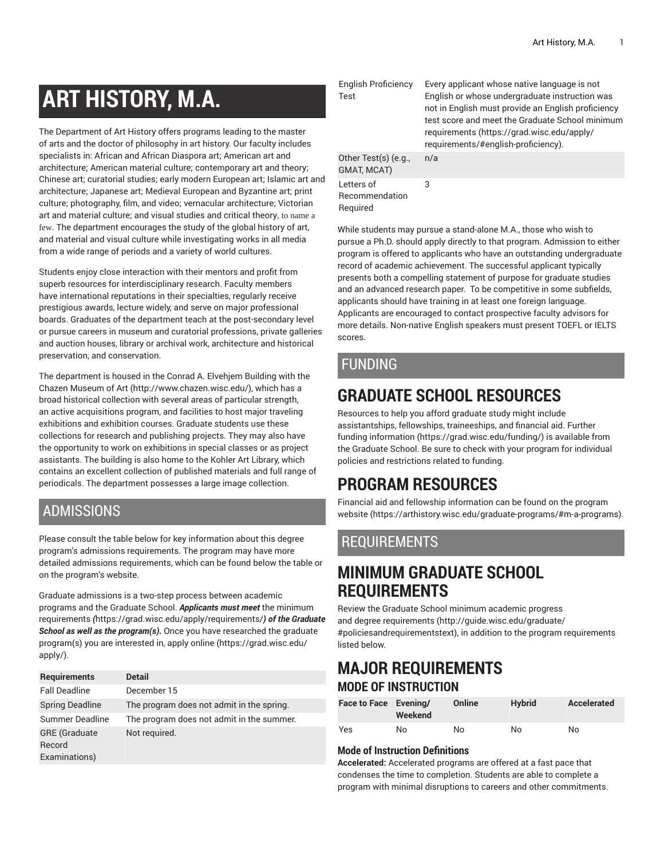# **ART HISTORY, M.A.**

The Department of Art History offers programs leading to the master of arts and the doctor of philosophy in art history. Our faculty includes specialists in: African and African Diaspora art; American art and architecture; American material culture; contemporary art and theory; Chinese art; curatorial studies; early modern European art; Islamic art and architecture; Japanese art; Medieval European and Byzantine art; print culture; photography, film, and video; vernacular architecture; Victorian art and material culture; and visual studies and critical theory, to name a few. The department encourages the study of the global history of art, and material and visual culture while investigating works in all media from a wide range of periods and a variety of world cultures.

Students enjoy close interaction with their mentors and profit from superb resources for interdisciplinary research. Faculty members have international reputations in their specialties, regularly receive prestigious awards, lecture widely, and serve on major professional boards. Graduates of the department teach at the post-secondary level or pursue careers in museum and curatorial professions, private galleries and auction houses, library or archival work, architecture and historical preservation, and conservation.

The department is housed in the Conrad A. Elvehjem Building with the Chazen [Museum](http://www.chazen.wisc.edu/) of Art (<http://www.chazen.wisc.edu/>), which has a broad historical collection with several areas of particular strength, an active acquisitions program, and facilities to host major traveling exhibitions and exhibition courses. Graduate students use these collections for research and publishing projects. They may also have the opportunity to work on exhibitions in special classes or as project assistants. The building is also home to the Kohler Art Library, which contains an excellent collection of published materials and full range of periodicals. The department possesses a large image collection.

### ADMISSIONS

Please consult the table below for key information about this degree program's admissions requirements. The program may have more detailed admissions requirements, which can be found below the table or on the program's website.

Graduate admissions is a two-step process between academic programs and the Graduate School. *Applicants must meet* [the minimum](https://grad.wisc.edu/apply/requirements/) [requirements](https://grad.wisc.edu/apply/requirements/) *(*<https://grad.wisc.edu/apply/requirements/>*) of the Graduate School as well as the program(s).* Once you have researched the graduate program(s) you are interested in, [apply online \(https://grad.wisc.edu/](https://grad.wisc.edu/apply/) [apply/\)](https://grad.wisc.edu/apply/).

| <b>Requirements</b>            | <b>Detail</b>                             |
|--------------------------------|-------------------------------------------|
| <b>Fall Deadline</b>           | December 15                               |
| <b>Spring Deadline</b>         | The program does not admit in the spring. |
| Summer Deadline                | The program does not admit in the summer. |
| <b>GRE</b> (Graduate<br>Record | Not required.                             |
| Examinations)                  |                                           |

English Proficiency Test Other Test(s) (e.g., GMAT, MCAT) n/a Letters of 3

Every applicant whose native language is not English or whose undergraduate instruction was not in English must provide an English proficiency test score and meet the Graduate School minimum requirements ([https://grad.wisc.edu/apply/](https://grad.wisc.edu/apply/requirements/#english-proficiency) [requirements/#english-proficiency](https://grad.wisc.edu/apply/requirements/#english-proficiency)).

Recommendation Required

While students may pursue a stand-alone M.A., those who wish to pursue a Ph.D. should apply directly to that program. Admission to either program is offered to applicants who have an outstanding undergraduate record of academic achievement. The successful applicant typically presents both a compelling statement of purpose for graduate studies and an advanced research paper. To be competitive in some subfields, applicants should have training in at least one foreign language. Applicants are encouraged to contact prospective faculty advisors for more details. Non-native English speakers must present TOEFL or IELTS scores.

# FUNDING

# **GRADUATE SCHOOL RESOURCES**

Resources to help you afford graduate study might include assistantships, fellowships, traineeships, and financial aid. [Further](https://grad.wisc.edu/funding/) [funding information \(https://grad.wisc.edu/funding/](https://grad.wisc.edu/funding/)) is available from the Graduate School. Be sure to check with your program for individual policies and restrictions related to funding.

# **PROGRAM RESOURCES**

Financial aid and fellowship information can be found on the [program](https://arthistory.wisc.edu/graduate-programs/#m-a-programs) [website](https://arthistory.wisc.edu/graduate-programs/#m-a-programs) [\(https://arthistory.wisc.edu/graduate-programs/#m-a-programs\)](https://arthistory.wisc.edu/graduate-programs/#m-a-programs).

# REQUIREMENTS

# **MINIMUM GRADUATE SCHOOL REQUIREMENTS**

Review the Graduate School minimum [academic](http://guide.wisc.edu/graduate/#policiesandrequirementstext) progress and degree [requirements \(http://guide.wisc.edu/graduate/](http://guide.wisc.edu/graduate/#policiesandrequirementstext) [#policiesandrequirementstext\)](http://guide.wisc.edu/graduate/#policiesandrequirementstext), in addition to the program requirements listed below.

## **MAJOR REQUIREMENTS MODE OF INSTRUCTION**

| Face to Face Evening/ | Weekend | Online | <b>Hybrid</b> | <b>Accelerated</b> |
|-----------------------|---------|--------|---------------|--------------------|
| Yes                   | No      | No     | No            | No                 |

### **Mode of Instruction Definitions**

**Accelerated:** Accelerated programs are offered at a fast pace that condenses the time to completion. Students are able to complete a program with minimal disruptions to careers and other commitments.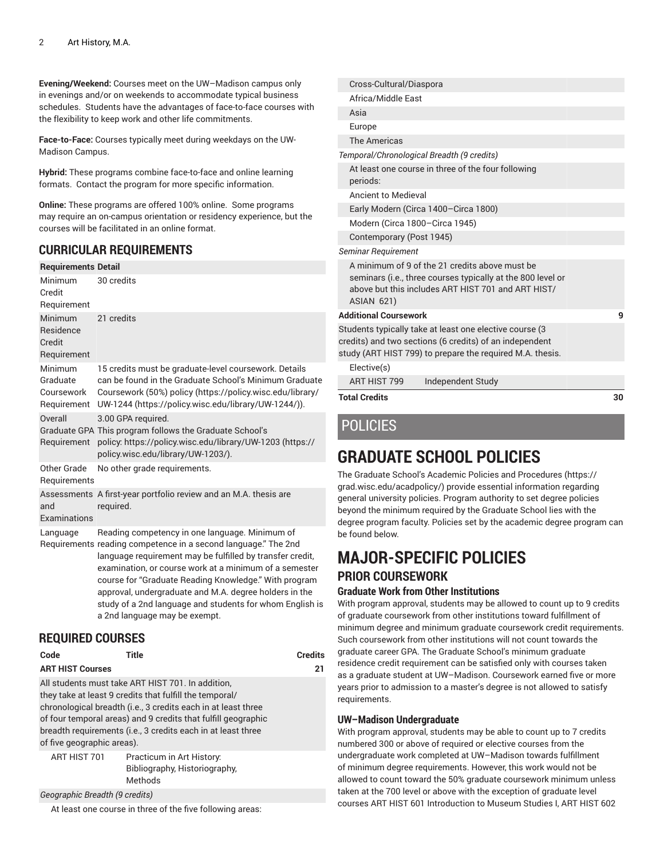**Evening/Weekend:** Courses meet on the UW–Madison campus only in evenings and/or on weekends to accommodate typical business schedules. Students have the advantages of face-to-face courses with the flexibility to keep work and other life commitments.

**Face-to-Face:** Courses typically meet during weekdays on the UW-Madison Campus.

**Hybrid:** These programs combine face-to-face and online learning formats. Contact the program for more specific information.

**Online:** These programs are offered 100% online. Some programs may require an on-campus orientation or residency experience, but the courses will be facilitated in an online format.

### **CURRICULAR REQUIREMENTS**

| <b>Requirements Detail</b>                           |                                                                                                                                                                                                                                                                                                                                                                                                                                                         |
|------------------------------------------------------|---------------------------------------------------------------------------------------------------------------------------------------------------------------------------------------------------------------------------------------------------------------------------------------------------------------------------------------------------------------------------------------------------------------------------------------------------------|
| Minimum<br>Credit                                    | 30 credits                                                                                                                                                                                                                                                                                                                                                                                                                                              |
| Requirement                                          |                                                                                                                                                                                                                                                                                                                                                                                                                                                         |
| Minimum<br><b>Residence</b><br>Credit<br>Requirement | 21 credits                                                                                                                                                                                                                                                                                                                                                                                                                                              |
| Minimum<br>Graduate<br>Coursework<br>Requirement     | 15 credits must be graduate-level coursework. Details<br>can be found in the Graduate School's Minimum Graduate<br>Coursework (50%) policy (https://policy.wisc.edu/library/<br>UW-1244 (https://policy.wisc.edu/library/UW-1244/)).                                                                                                                                                                                                                    |
| Overall<br>Requirement                               | 3.00 GPA required.<br>Graduate GPA This program follows the Graduate School's<br>policy. https://policy.wisc.edu/library/UW-1203 (https://<br>policy.wisc.edu/library/UW-1203/).                                                                                                                                                                                                                                                                        |
| Other Grade<br>Requirements                          | No other grade requirements.                                                                                                                                                                                                                                                                                                                                                                                                                            |
| and<br>Examinations                                  | Assessments A first-year portfolio review and an M.A. thesis are<br>required.                                                                                                                                                                                                                                                                                                                                                                           |
| Language                                             | Reading competency in one language. Minimum of<br>Requirements reading competence in a second language." The 2nd<br>language requirement may be fulfilled by transfer credit,<br>examination, or course work at a minimum of a semester<br>course for "Graduate Reading Knowledge." With program<br>approval, undergraduate and M.A. degree holders in the<br>study of a 2nd language and students for whom English is<br>a 2nd language may be exempt. |

### **REQUIRED COURSES**

| Code                       | Title                                                                                                                                                                                                                                                                                                          | <b>Credits</b> |
|----------------------------|----------------------------------------------------------------------------------------------------------------------------------------------------------------------------------------------------------------------------------------------------------------------------------------------------------------|----------------|
| <b>ART HIST Courses</b>    |                                                                                                                                                                                                                                                                                                                | 21             |
| of five geographic areas). | All students must take ART HIST 701. In addition,<br>they take at least 9 credits that fulfill the temporal/<br>chronological breadth (i.e., 3 credits each in at least three<br>of four temporal areas) and 9 credits that fulfill geographic<br>breadth requirements (i.e., 3 credits each in at least three |                |
| ART HIST 701               | Practicum in Art History.<br>Bibliography, Historiography,<br>Methods                                                                                                                                                                                                                                          |                |

*Geographic Breadth (9 credits)*

At least one course in three of the five following areas:

| Cross-Cultural/Diaspora                                                                                                                                                                  |    |
|------------------------------------------------------------------------------------------------------------------------------------------------------------------------------------------|----|
| Africa/Middle East                                                                                                                                                                       |    |
| Asia                                                                                                                                                                                     |    |
| Europe                                                                                                                                                                                   |    |
| The Americas                                                                                                                                                                             |    |
| Temporal/Chronological Breadth (9 credits)                                                                                                                                               |    |
| At least one course in three of the four following<br>periods:                                                                                                                           |    |
| <b>Ancient to Medieval</b>                                                                                                                                                               |    |
| Early Modern (Circa 1400-Circa 1800)                                                                                                                                                     |    |
| Modern (Circa 1800-Circa 1945)                                                                                                                                                           |    |
| Contemporary (Post 1945)                                                                                                                                                                 |    |
| Seminar Requirement                                                                                                                                                                      |    |
| A minimum of 9 of the 21 credits above must be<br>seminars (i.e., three courses typically at the 800 level or<br>above but this includes ART HIST 701 and ART HIST/<br><b>ASIAN 621)</b> |    |
| <b>Additional Coursework</b>                                                                                                                                                             | 9  |
| Students typically take at least one elective course (3<br>credits) and two sections (6 credits) of an independent<br>study (ART HIST 799) to prepare the required M.A. thesis.          |    |
| Elective(s)                                                                                                                                                                              |    |
| ART HIST 799<br>Independent Study                                                                                                                                                        |    |
| <b>Total Credits</b>                                                                                                                                                                     | 30 |
| <b>POLICIES</b>                                                                                                                                                                          |    |

# **GRADUATE SCHOOL POLICIES**

The Graduate School's Academic Policies and [Procedures \(https://](https://grad.wisc.edu/acadpolicy/) [grad.wisc.edu/acadpolicy/](https://grad.wisc.edu/acadpolicy/)) provide essential information regarding general university policies. Program authority to set degree policies beyond the minimum required by the Graduate School lies with the degree program faculty. Policies set by the academic degree program can be found below.

# **MAJOR-SPECIFIC POLICIES PRIOR COURSEWORK**

#### **Graduate Work from Other Institutions**

With program approval, students may be allowed to count up to 9 credits of graduate coursework from other institutions toward fulfillment of minimum degree and minimum graduate coursework credit requirements. Such coursework from other institutions will not count towards the graduate career GPA. The Graduate School's minimum graduate residence credit requirement can be satisfied only with courses taken as a graduate student at UW–Madison. Coursework earned five or more years prior to admission to a master's degree is not allowed to satisfy requirements.

#### **UW–Madison Undergraduate**

With program approval, students may be able to count up to 7 credits numbered 300 or above of required or elective courses from the undergraduate work completed at UW–Madison towards fulfillment of minimum degree requirements. However, this work would not be allowed to count toward the 50% graduate coursework minimum unless taken at the 700 level or above with the exception of graduate level courses ART HIST 601 Introduction to Museum Studies I, ART HIST 602